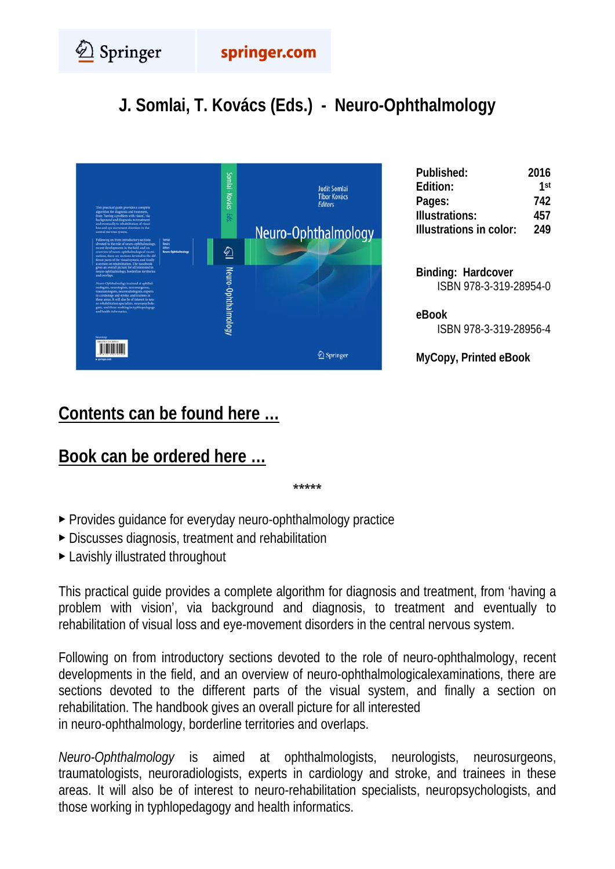Springer

## **J. Somlai, T. Kovács (Eds.) - Neuro-Ophthalmology**



| Published:              | 2016 |
|-------------------------|------|
| Edition:                | 1st  |
| Pages:                  | 742  |
| <b>Illustrations:</b>   | 457  |
| Illustrations in color: | 249  |
|                         |      |

**Binding: Hardcover**  ISBN 978-3-319-28954-0

**eBook**  ISBN 978-3-319-28956-4

**MyCopy, Printed eBook** 

## **[Contents can be found here …](#page-1-0)**

## **[Book can be ordered here …](http://www.springer.com/us/book/9783319289540)**

**\*\*\*\*\*** 

- ▶ Provides guidance for everyday neuro-ophthalmology practice
- ▶ Discusses diagnosis, treatment and rehabilitation
- ▶ Lavishly illustrated throughout

This practical guide provides a complete algorithm for diagnosis and treatment, from 'having a problem with vision', via background and diagnosis, to treatment and eventually to rehabilitation of visual loss and eye-movement disorders in the central nervous system.

Following on from introductory sections devoted to the role of neuro-ophthalmology, recent developments in the field, and an overview of neuro-ophthalmologicalexaminations, there are sections devoted to the different parts of the visual system, and finally a section on rehabilitation. The handbook gives an overall picture for all interested in neuro-ophthalmology, borderline territories and overlaps.

*Neuro-Ophthalmology* is aimed at ophthalmologists, neurologists, neurosurgeons, traumatologists, neuroradiologists, experts in cardiology and stroke, and trainees in these areas. It will also be of interest to neuro-rehabilitation specialists, neuropsychologists, and those working in typhlopedagogy and health informatics.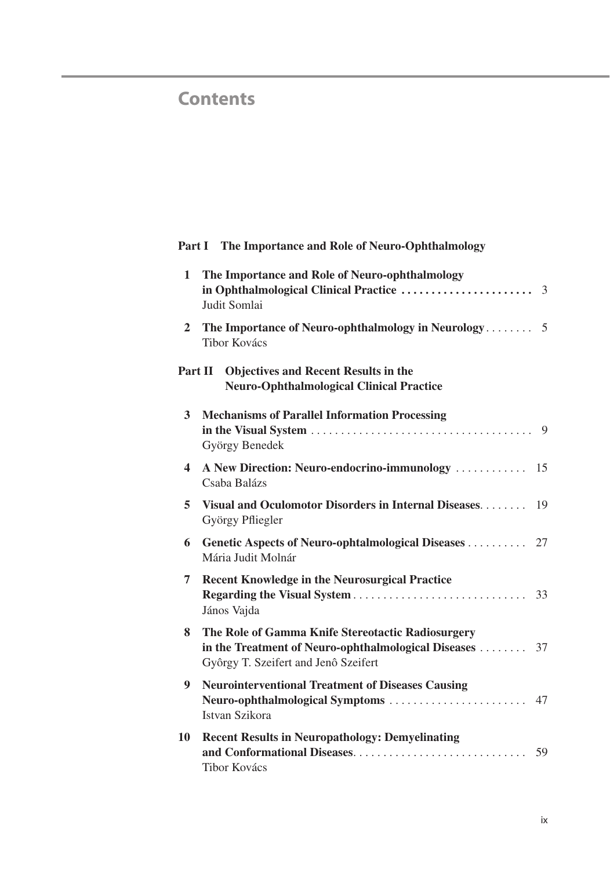## <span id="page-1-0"></span>**Contents**

|                | Part I The Importance and Role of Neuro-Ophthalmology                                                                                                |    |
|----------------|------------------------------------------------------------------------------------------------------------------------------------------------------|----|
| 1              | The Importance and Role of Neuro-ophthalmology<br>Judit Somlai                                                                                       |    |
| $\overline{2}$ | <b>Tibor Kovács</b>                                                                                                                                  |    |
| Part II        | <b>Objectives and Recent Results in the</b><br><b>Neuro-Ophthalmological Clinical Practice</b>                                                       |    |
| 3              | <b>Mechanisms of Parallel Information Processing</b><br>György Benedek                                                                               |    |
| 4              | A New Direction: Neuro-endocrino-immunology<br>Csaba Balázs                                                                                          | 15 |
| 5              | Visual and Oculomotor Disorders in Internal Diseases<br>György Pfliegler                                                                             | 19 |
| 6              | Genetic Aspects of Neuro-ophtalmological Diseases<br>Mária Judit Molnár                                                                              | 27 |
| 7              | <b>Recent Knowledge in the Neurosurgical Practice</b><br>János Vajda                                                                                 | 33 |
| 8              | The Role of Gamma Knife Stereotactic Radiosurgery<br>in the Treatment of Neuro-ophthalmological Diseases  37<br>Gyôrgy T. Szeifert and Jenô Szeifert |    |
| 9              | <b>Neurointerventional Treatment of Diseases Causing</b><br>Istvan Szikora                                                                           | 47 |
| 10             | <b>Recent Results in Neuropathology: Demyelinating</b><br><b>Tibor Kovács</b>                                                                        | 59 |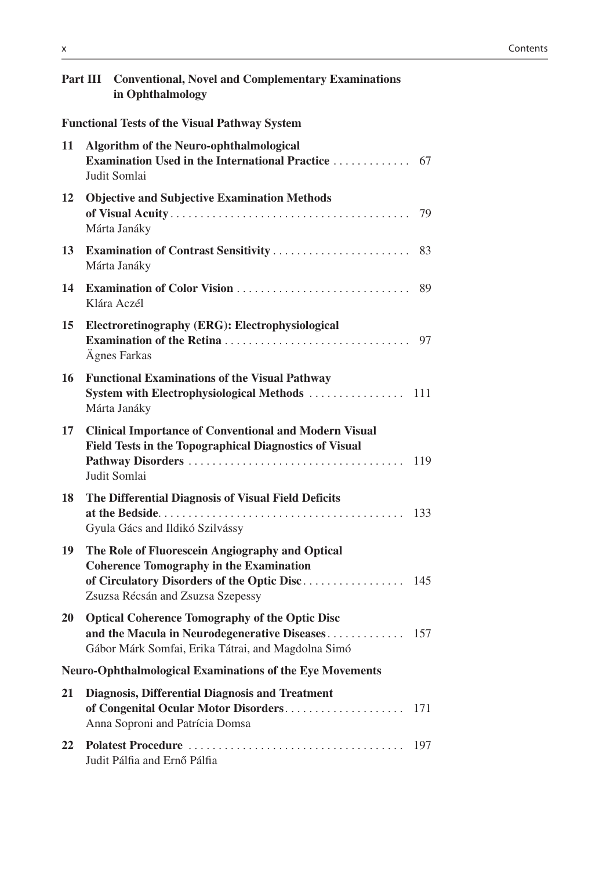| <b>Part III</b> | <b>Conventional, Novel and Complementary Examinations</b><br>in Ophthalmology                                                                               |     |
|-----------------|-------------------------------------------------------------------------------------------------------------------------------------------------------------|-----|
|                 | <b>Functional Tests of the Visual Pathway System</b>                                                                                                        |     |
| 11              | <b>Algorithm of the Neuro-ophthalmological</b><br>Examination Used in the International Practice<br>Judit Somlai                                            | 67  |
| 12              | <b>Objective and Subjective Examination Methods</b><br>Márta Janáky                                                                                         | 79  |
| 13              | Márta Janáky                                                                                                                                                | 83  |
| 14              | Klára Aczél                                                                                                                                                 | 89  |
| 15              | Electroretinography (ERG): Electrophysiological<br>Ägnes Farkas                                                                                             | 97  |
| 16              | <b>Functional Examinations of the Visual Pathway</b><br>Márta Janáky                                                                                        |     |
| 17              | <b>Clinical Importance of Conventional and Modern Visual</b><br>Field Tests in the Topographical Diagnostics of Visual<br>Judit Somlai                      |     |
| 18              | The Differential Diagnosis of Visual Field Deficits<br>Gyula Gács and Ildikó Szilvássy                                                                      | 133 |
| 19              | The Role of Fluorescein Angiography and Optical<br><b>Coherence Tomography in the Examination</b><br>Zsuzsa Récsán and Zsuzsa Szepessy                      |     |
| 20              | <b>Optical Coherence Tomography of the Optic Disc</b><br>and the Macula in Neurodegenerative Diseases<br>Gábor Márk Somfai, Erika Tátrai, and Magdolna Simó | 157 |
|                 | <b>Neuro-Ophthalmological Examinations of the Eye Movements</b>                                                                                             |     |
| 21              | <b>Diagnosis, Differential Diagnosis and Treatment</b><br>of Congenital Ocular Motor Disorders<br>Anna Soproni and Patrícia Domsa                           | 171 |
| 22              | Judit Pálfia and Ernő Pálfia                                                                                                                                | 197 |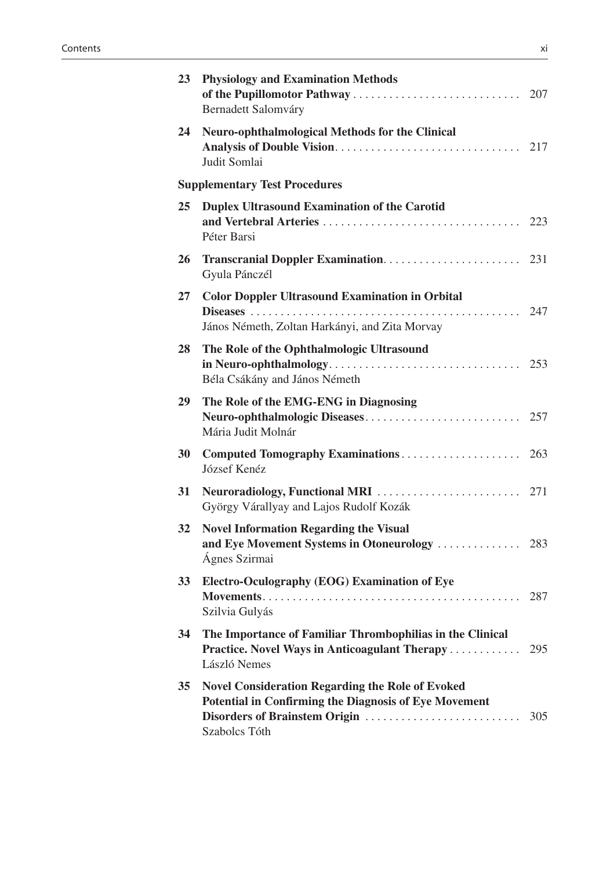| 23        | <b>Physiology and Examination Methods</b><br>Bernadett Salomváry                                                                                                   |     |
|-----------|--------------------------------------------------------------------------------------------------------------------------------------------------------------------|-----|
| 24        | <b>Neuro-ophthalmological Methods for the Clinical</b><br>Judit Somlai                                                                                             |     |
|           | <b>Supplementary Test Procedures</b>                                                                                                                               |     |
| 25        | <b>Duplex Ultrasound Examination of the Carotid</b><br>Péter Barsi                                                                                                 |     |
| 26        | Gyula Pánczél                                                                                                                                                      |     |
| 27        | <b>Color Doppler Ultrasound Examination in Orbital</b><br>János Németh, Zoltan Harkányi, and Zita Morvay                                                           |     |
| 28        | The Role of the Ophthalmologic Ultrasound<br>Béla Csákány and János Németh                                                                                         |     |
| 29        | The Role of the EMG-ENG in Diagnosing<br>Mária Judit Molnár                                                                                                        |     |
| 30        | József Kenéz                                                                                                                                                       |     |
| 31        | György Várallyay and Lajos Rudolf Kozák                                                                                                                            |     |
| 32        | <b>Novel Information Regarding the Visual</b><br>Ágnes Szirmai                                                                                                     |     |
| <b>33</b> | Electro-Oculography (EOG) Examination of Eye<br>Szilvia Gulyás                                                                                                     |     |
| 34        | The Importance of Familiar Thrombophilias in the Clinical<br>Practice. Novel Ways in Anticoagulant Therapy<br>László Nemes                                         | 295 |
| 35        | <b>Novel Consideration Regarding the Role of Evoked</b><br>Potential in Confirming the Diagnosis of Eye Movement<br>Disorders of Brainstem Origin<br>Szabolcs Tóth | 305 |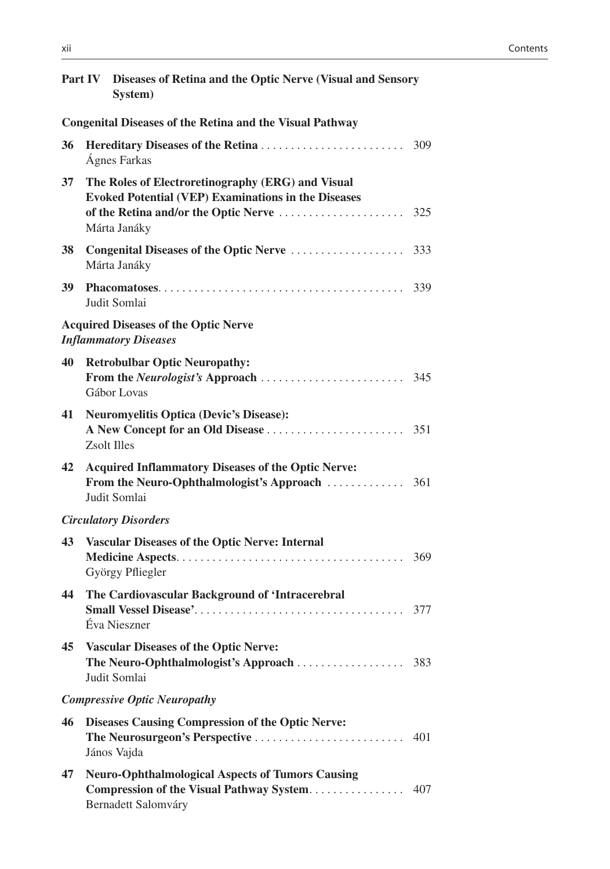|    | Part IV Diseases of Retina and the Optic Nerve (Visual and Sensory<br>System)                                                   |     |
|----|---------------------------------------------------------------------------------------------------------------------------------|-----|
|    | <b>Congenital Diseases of the Retina and the Visual Pathway</b>                                                                 |     |
| 36 | Ágnes Farkas                                                                                                                    | 309 |
| 37 | The Roles of Electroretinography (ERG) and Visual<br><b>Evoked Potential (VEP) Examinations in the Diseases</b><br>Márta Janáky | 325 |
| 38 | Congenital Diseases of the Optic Nerve<br>Márta Janáky                                                                          | 333 |
| 39 | Judit Somlai                                                                                                                    | 339 |
|    | <b>Acquired Diseases of the Optic Nerve</b><br><b>Inflammatory Diseases</b>                                                     |     |
| 40 | <b>Retrobulbar Optic Neuropathy:</b><br>Gábor Lovas                                                                             | 345 |
| 41 | <b>Neuromyelitis Optica (Devic's Disease):</b><br><b>Zsolt Illes</b>                                                            |     |
| 42 | <b>Acquired Inflammatory Diseases of the Optic Nerve:</b><br>Judit Somlai                                                       |     |
|    | <b>Circulatory Disorders</b>                                                                                                    |     |
| 43 | <b>Vascular Diseases of the Optic Nerve: Internal</b><br>György Pfliegler                                                       | 369 |
| 44 | The Cardiovascular Background of 'Intracerebral<br>Éva Nieszner                                                                 |     |
| 45 | <b>Vascular Diseases of the Optic Nerve:</b><br>The Neuro-Ophthalmologist's Approach<br>Judit Somlai                            | 383 |
|    | <b>Compressive Optic Neuropathy</b>                                                                                             |     |
| 46 | <b>Diseases Causing Compression of the Optic Nerve:</b><br>The Neurosurgeon's Perspective<br>János Vajda                        | 401 |
| 47 | <b>Neuro-Ophthalmological Aspects of Tumors Causing</b><br>Compression of the Visual Pathway System<br>Bernadett Salomváry      | 407 |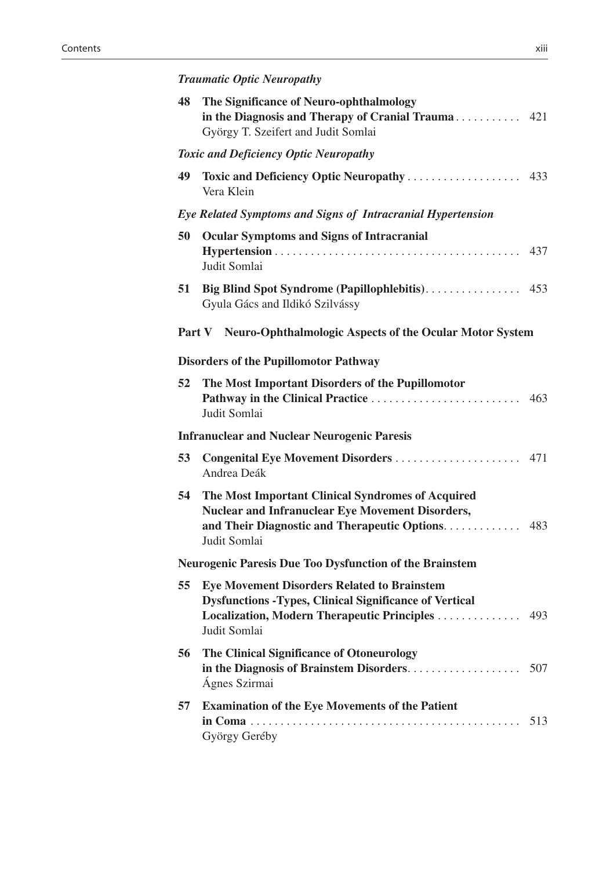| 48 | The Significance of Neuro-ophthalmology<br>in the Diagnosis and Therapy of Cranial Trauma 421<br>György T. Szeifert and Judit Somlai                                                   |     |
|----|----------------------------------------------------------------------------------------------------------------------------------------------------------------------------------------|-----|
|    | <b>Toxic and Deficiency Optic Neuropathy</b>                                                                                                                                           |     |
| 49 | Vera Klein                                                                                                                                                                             |     |
|    | Eye Related Symptoms and Signs of Intracranial Hypertension                                                                                                                            |     |
| 50 | <b>Ocular Symptoms and Signs of Intracranial</b><br>Judit Somlai                                                                                                                       |     |
| 51 | Gyula Gács and Ildikó Szilvássy                                                                                                                                                        |     |
|    | Part V Neuro-Ophthalmologic Aspects of the Ocular Motor System                                                                                                                         |     |
|    | <b>Disorders of the Pupillomotor Pathway</b>                                                                                                                                           |     |
| 52 | The Most Important Disorders of the Pupillomotor<br>Judit Somlai                                                                                                                       | 463 |
|    | <b>Infranuclear and Nuclear Neurogenic Paresis</b>                                                                                                                                     |     |
| 53 | Congenital Eye Movement Disorders  471<br>Andrea Deák                                                                                                                                  |     |
| 54 | The Most Important Clinical Syndromes of Acquired<br>Nuclear and Infranuclear Eye Movement Disorders,<br>and Their Diagnostic and Therapeutic Options.<br>Judit Somlai                 | 483 |
|    | <b>Neurogenic Paresis Due Too Dysfunction of the Brainstem</b>                                                                                                                         |     |
| 55 | <b>Eye Movement Disorders Related to Brainstem</b><br><b>Dysfunctions -Types, Clinical Significance of Vertical</b><br>Localization, Modern Therapeutic Principles 493<br>Judit Somlai |     |
| 56 | The Clinical Significance of Otoneurology<br>in the Diagnosis of Brainstem Disorders<br>Ágnes Szirmai                                                                                  | 507 |
| 57 | <b>Examination of the Eye Movements of the Patient</b><br>György Geréby                                                                                                                | 513 |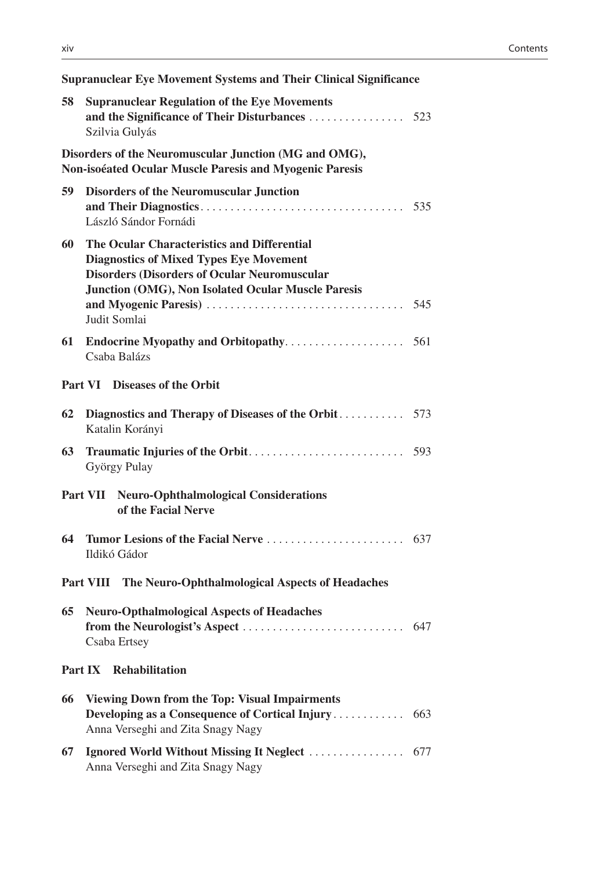|                | <b>Supranuclear Eye Movement Systems and Their Clinical Significance</b>                                                                                                                                                   |     |
|----------------|----------------------------------------------------------------------------------------------------------------------------------------------------------------------------------------------------------------------------|-----|
| 58             | <b>Supranuclear Regulation of the Eye Movements</b><br>Szilvia Gulyás                                                                                                                                                      |     |
|                | Disorders of the Neuromuscular Junction (MG and OMG),<br>Non-isoéated Ocular Muscle Paresis and Myogenic Paresis                                                                                                           |     |
| 59             | <b>Disorders of the Neuromuscular Junction</b><br>László Sándor Fornádi                                                                                                                                                    |     |
| 60             | The Ocular Characteristics and Differential<br><b>Diagnostics of Mixed Types Eye Movement</b><br><b>Disorders (Disorders of Ocular Neuromuscular</b><br>Junction (OMG), Non Isolated Ocular Muscle Paresis<br>Judit Somlai |     |
| 61             | Csaba Balázs                                                                                                                                                                                                               |     |
|                | Part VI Diseases of the Orbit                                                                                                                                                                                              |     |
| 62             | Katalin Korányi                                                                                                                                                                                                            |     |
| 63             | György Pulay                                                                                                                                                                                                               |     |
|                | Part VII Neuro-Ophthalmological Considerations<br>of the Facial Nerve                                                                                                                                                      |     |
| 64             | Ildikó Gádor                                                                                                                                                                                                               |     |
|                | Part VIII The Neuro-Ophthalmological Aspects of Headaches                                                                                                                                                                  |     |
|                | 65 Neuro-Opthalmological Aspects of Headaches<br>Csaba Ertsey                                                                                                                                                              |     |
| <b>Part IX</b> | <b>Rehabilitation</b>                                                                                                                                                                                                      |     |
| 66             | <b>Viewing Down from the Top: Visual Impairments</b><br>Developing as a Consequence of Cortical Injury<br>Anna Verseghi and Zita Snagy Nagy                                                                                | 663 |
| 67             | Ignored World Without Missing It Neglect<br>Anna Verseghi and Zita Snagy Nagy                                                                                                                                              | 677 |